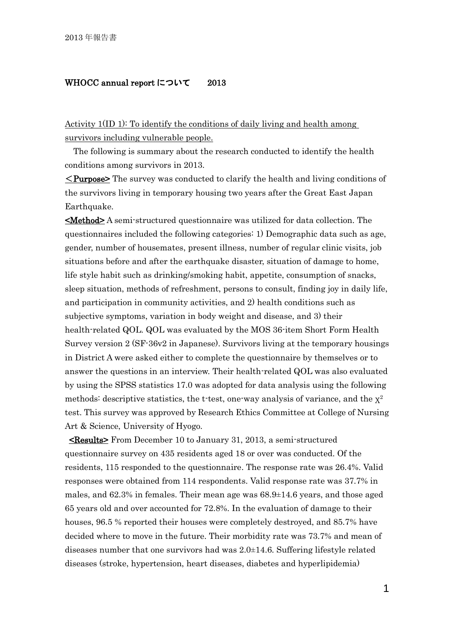## WHOCC annual report について 2013

Activity 1(ID 1): To identify the conditions of daily living and health among survivors including vulnerable people.

The following is summary about the research conducted to identify the health conditions among survivors in 2013.

<Purpose> The survey was conducted to clarify the health and living conditions of the survivors living in temporary housing two years after the Great East Japan Earthquake.

<Method> A semi-structured questionnaire was utilized for data collection. The questionnaires included the following categories: 1) Demographic data such as age, gender, number of housemates, present illness, number of regular clinic visits, job situations before and after the earthquake disaster, situation of damage to home, life style habit such as drinking/smoking habit, appetite, consumption of snacks, sleep situation, methods of refreshment, persons to consult, finding joy in daily life, and participation in community activities, and 2) health conditions such as subjective symptoms, variation in body weight and disease, and 3) their health-related QOL. QOL was evaluated by the MOS 36-item Short Form Health Survey version 2 (SF-36v2 in Japanese). Survivors living at the temporary housings in District A were asked either to complete the questionnaire by themselves or to answer the questions in an interview. Their health-related QOL was also evaluated by using the SPSS statistics 17.0 was adopted for data analysis using the following methods: descriptive statistics, the t-test, one-way analysis of variance, and the  $x^2$ test. This survey was approved by Research Ethics Committee at College of Nursing Art & Science, University of Hyogo.

<Results> From December 10 to January 31, 2013, a semi-structured questionnaire survey on 435 residents aged 18 or over was conducted. Of the residents, 115 responded to the questionnaire. The response rate was 26.4%. Valid responses were obtained from 114 respondents. Valid response rate was 37.7% in males, and 62.3% in females. Their mean age was 68.9±14.6 years, and those aged 65 years old and over accounted for 72.8%. In the evaluation of damage to their houses, 96.5 % reported their houses were completely destroyed, and 85.7% have decided where to move in the future. Their morbidity rate was 73.7% and mean of diseases number that one survivors had was 2.0±14.6. Suffering lifestyle related diseases (stroke, hypertension, heart diseases, diabetes and hyperlipidemia)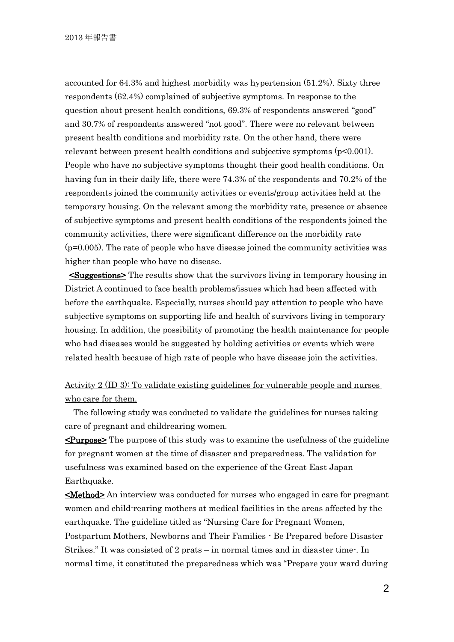accounted for 64.3% and highest morbidity was hypertension (51.2%). Sixty three respondents (62.4%) complained of subjective symptoms. In response to the question about present health conditions, 69.3% of respondents answered "good" and 30.7% of respondents answered "not good". There were no relevant between present health conditions and morbidity rate. On the other hand, there were relevant between present health conditions and subjective symptoms (p<0.001). People who have no subjective symptoms thought their good health conditions. On having fun in their daily life, there were 74.3% of the respondents and 70.2% of the respondents joined the community activities or events/group activities held at the temporary housing. On the relevant among the morbidity rate, presence or absence of subjective symptoms and present health conditions of the respondents joined the community activities, there were significant difference on the morbidity rate  $(p=0.005)$ . The rate of people who have disease joined the community activities was higher than people who have no disease.

<Suggestions> The results show that the survivors living in temporary housing in District A continued to face health problems/issues which had been affected with before the earthquake. Especially, nurses should pay attention to people who have subjective symptoms on supporting life and health of survivors living in temporary housing. In addition, the possibility of promoting the health maintenance for people who had diseases would be suggested by holding activities or events which were related health because of high rate of people who have disease join the activities.

Activity 2 (ID 3): To validate existing guidelines for vulnerable people and nurses who care for them.

 The following study was conducted to validate the guidelines for nurses taking care of pregnant and childrearing women.

<Purpose> The purpose of this study was to examine the usefulness of the guideline for pregnant women at the time of disaster and preparedness. The validation for usefulness was examined based on the experience of the Great East Japan Earthquake.

**Kethod** An interview was conducted for nurses who engaged in care for pregnant women and child-rearing mothers at medical facilities in the areas affected by the earthquake. The guideline titled as "Nursing Care for Pregnant Women, Postpartum Mothers, Newborns and Their Families - Be Prepared before Disaster Strikes." It was consisted of 2 prats – in normal times and in disaster time-. In normal time, it constituted the preparedness which was "Prepare your ward during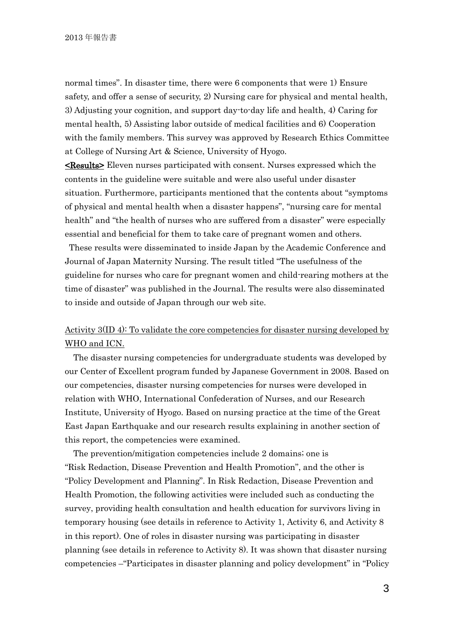normal times". In disaster time, there were 6 components that were 1) Ensure safety, and offer a sense of security, 2) Nursing care for physical and mental health, 3) Adjusting your cognition, and support day-to-day life and health, 4) Caring for mental health, 5) Assisting labor outside of medical facilities and 6) Cooperation with the family members. This survey was approved by Research Ethics Committee at College of Nursing Art & Science, University of Hyogo.

**Kesults** Eleven nurses participated with consent. Nurses expressed which the contents in the guideline were suitable and were also useful under disaster situation. Furthermore, participants mentioned that the contents about "symptoms of physical and mental health when a disaster happens", "nursing care for mental health" and "the health of nurses who are suffered from a disaster" were especially essential and beneficial for them to take care of pregnant women and others.

These results were disseminated to inside Japan by the Academic Conference and Journal of Japan Maternity Nursing. The result titled "The usefulness of the guideline for nurses who care for pregnant women and child-rearing mothers at the time of disaster" was published in the Journal. The results were also disseminated to inside and outside of Japan through our web site.

## Activity 3(ID 4): To validate the core competencies for disaster nursing developed by WHO and ICN.

The disaster nursing competencies for undergraduate students was developed by our Center of Excellent program funded by Japanese Government in 2008. Based on our competencies, disaster nursing competencies for nurses were developed in relation with WHO, International Confederation of Nurses, and our Research Institute, University of Hyogo. Based on nursing practice at the time of the Great East Japan Earthquake and our research results explaining in another section of this report, the competencies were examined.

The prevention/mitigation competencies include 2 domains; one is "Risk Redaction, Disease Prevention and Health Promotion", and the other is "Policy Development and Planning". In Risk Redaction, Disease Prevention and Health Promotion, the following activities were included such as conducting the survey, providing health consultation and health education for survivors living in temporary housing (see details in reference to Activity 1, Activity 6, and Activity 8 in this report). One of roles in disaster nursing was participating in disaster planning (see details in reference to Activity 8). It was shown that disaster nursing competencies –"Participates in disaster planning and policy development" in "Policy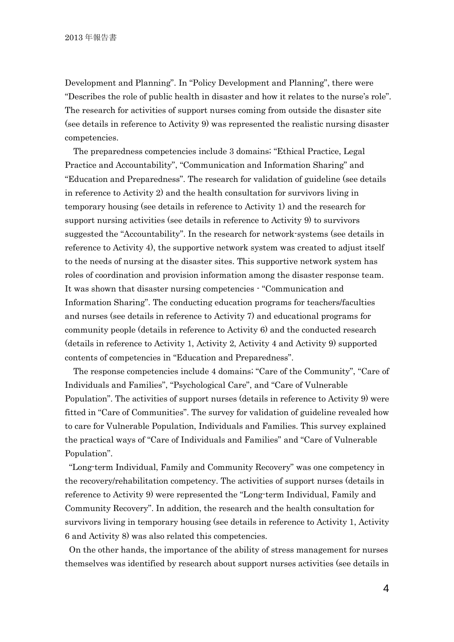Development and Planning". In "Policy Development and Planning", there were "Describes the role of public health in disaster and how it relates to the nurse's role". The research for activities of support nurses coming from outside the disaster site (see details in reference to Activity 9) was represented the realistic nursing disaster competencies.

The preparedness competencies include 3 domains; "Ethical Practice, Legal Practice and Accountability", "Communication and Information Sharing" and "Education and Preparedness". The research for validation of guideline (see details in reference to Activity 2) and the health consultation for survivors living in temporary housing (see details in reference to Activity 1) and the research for support nursing activities (see details in reference to Activity 9) to survivors suggested the "Accountability". In the research for network-systems (see details in reference to Activity 4), the supportive network system was created to adjust itself to the needs of nursing at the disaster sites. This supportive network system has roles of coordination and provision information among the disaster response team. It was shown that disaster nursing competencies - "Communication and Information Sharing". The conducting education programs for teachers/faculties and nurses (see details in reference to Activity 7) and educational programs for community people (details in reference to Activity 6) and the conducted research (details in reference to Activity 1, Activity 2, Activity 4 and Activity 9) supported contents of competencies in "Education and Preparedness".

The response competencies include 4 domains; "Care of the Community", "Care of Individuals and Families", "Psychological Care", and "Care of Vulnerable Population". The activities of support nurses (details in reference to Activity 9) were fitted in "Care of Communities". The survey for validation of guideline revealed how to care for Vulnerable Population, Individuals and Families. This survey explained the practical ways of "Care of Individuals and Families" and "Care of Vulnerable Population".

"Long-term Individual, Family and Community Recovery" was one competency in the recovery/rehabilitation competency. The activities of support nurses (details in reference to Activity 9) were represented the "Long-term Individual, Family and Community Recovery". In addition, the research and the health consultation for survivors living in temporary housing (see details in reference to Activity 1, Activity 6 and Activity 8) was also related this competencies.

On the other hands, the importance of the ability of stress management for nurses themselves was identified by research about support nurses activities (see details in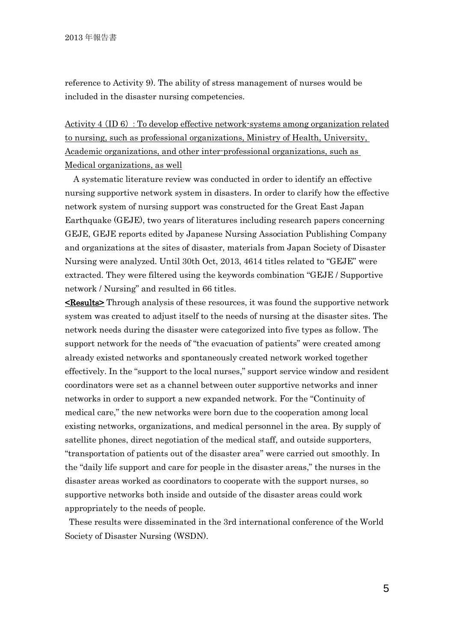reference to Activity 9). The ability of stress management of nurses would be included in the disaster nursing competencies.

Activity 4(ID 6):To develop effective network-systems among organization related to nursing, such as professional organizations, Ministry of Health, University, Academic organizations, and other inter-professional organizations, such as Medical organizations, as well

A systematic literature review was conducted in order to identify an effective nursing supportive network system in disasters. In order to clarify how the effective network system of nursing support was constructed for the Great East Japan Earthquake (GEJE), two years of literatures including research papers concerning GEJE, GEJE reports edited by Japanese Nursing Association Publishing Company and organizations at the sites of disaster, materials from Japan Society of Disaster Nursing were analyzed. Until 30th Oct, 2013, 4614 titles related to "GEJE" were extracted. They were filtered using the keywords combination "GEJE / Supportive network / Nursing" and resulted in 66 titles.

**Kesults** Through analysis of these resources, it was found the supportive network system was created to adjust itself to the needs of nursing at the disaster sites. The network needs during the disaster were categorized into five types as follow. The support network for the needs of "the evacuation of patients" were created among already existed networks and spontaneously created network worked together effectively. In the "support to the local nurses," support service window and resident coordinators were set as a channel between outer supportive networks and inner networks in order to support a new expanded network. For the "Continuity of medical care," the new networks were born due to the cooperation among local existing networks, organizations, and medical personnel in the area. By supply of satellite phones, direct negotiation of the medical staff, and outside supporters, "transportation of patients out of the disaster area" were carried out smoothly. In the "daily life support and care for people in the disaster areas," the nurses in the disaster areas worked as coordinators to cooperate with the support nurses, so supportive networks both inside and outside of the disaster areas could work appropriately to the needs of people.

These results were disseminated in the 3rd international conference of the World Society of Disaster Nursing (WSDN).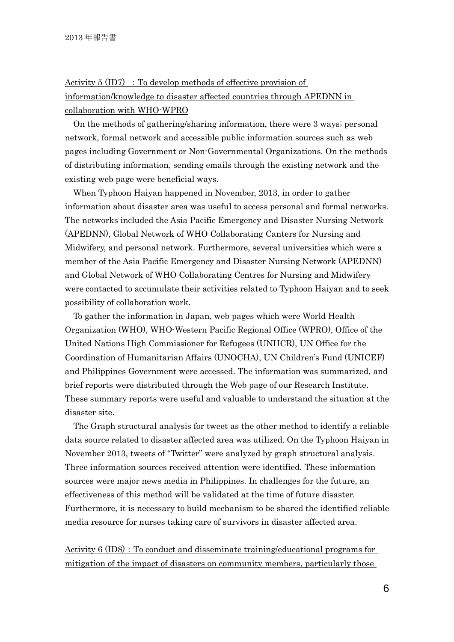Activity  $5 (ID7)$ : To develop methods of effective provision of information/knowledge to disaster affected countries through APEDNN in collaboration with WHO-WPRO

On the methods of gathering/sharing information, there were 3 ways; personal network, formal network and accessible public information sources such as web pages including Government or Non-Governmental Organizations. On the methods of distributing information, sending emails through the existing network and the existing web page were beneficial ways.

When Typhoon Haiyan happened in November, 2013, in order to gather information about disaster area was useful to access personal and formal networks. The networks included the Asia Pacific Emergency and Disaster Nursing Network (APEDNN), Global Network of WHO Collaborating Canters for Nursing and Midwifery, and personal network. Furthermore, several universities which were a member of the Asia Pacific Emergency and Disaster Nursing Network (APEDNN) and Global Network of WHO Collaborating Centres for Nursing and Midwifery were contacted to accumulate their activities related to Typhoon Haiyan and to seek possibility of collaboration work.

To gather the information in Japan, web pages which were World Health Organization (WHO), WHO-Western Pacific Regional Office (WPRO), Office of the United Nations High Commissioner for Refugees (UNHCR), UN Office for the Coordination of Humanitarian Affairs (UNOCHA), UN Children's Fund (UNICEF) and Philippines Government were accessed. The information was summarized, and brief reports were distributed through the Web page of our Research Institute. These summary reports were useful and valuable to understand the situation at the disaster site.

The Graph structural analysis for tweet as the other method to identify a reliable data source related to disaster affected area was utilized. On the Typhoon Haiyan in November 2013, tweets of "Twitter" were analyzed by graph structural analysis. Three information sources received attention were identified. These information sources were major news media in Philippines. In challenges for the future, an effectiveness of this method will be validated at the time of future disaster. Furthermore, it is necessary to build mechanism to be shared the identified reliable media resource for nurses taking care of survivors in disaster affected area.

Activity  $6 (ID8)$ : To conduct and disseminate training/educational programs for mitigation of the impact of disasters on community members, particularly those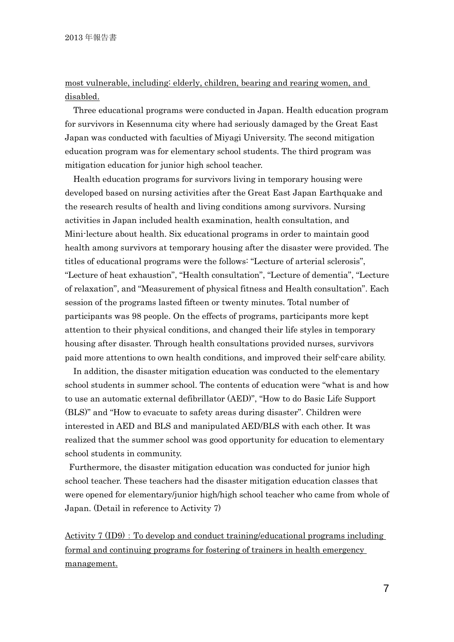## most vulnerable, including: elderly, children, bearing and rearing women, and disabled.

Three educational programs were conducted in Japan. Health education program for survivors in Kesennuma city where had seriously damaged by the Great East Japan was conducted with faculties of Miyagi University. The second mitigation education program was for elementary school students. The third program was mitigation education for junior high school teacher.

Health education programs for survivors living in temporary housing were developed based on nursing activities after the Great East Japan Earthquake and the research results of health and living conditions among survivors. Nursing activities in Japan included health examination, health consultation, and Mini-lecture about health. Six educational programs in order to maintain good health among survivors at temporary housing after the disaster were provided. The titles of educational programs were the follows: "Lecture of arterial sclerosis", "Lecture of heat exhaustion", "Health consultation", "Lecture of dementia", "Lecture of relaxation", and "Measurement of physical fitness and Health consultation". Each session of the programs lasted fifteen or twenty minutes. Total number of participants was 98 people. On the effects of programs, participants more kept attention to their physical conditions, and changed their life styles in temporary housing after disaster. Through health consultations provided nurses, survivors paid more attentions to own health conditions, and improved their self-care ability.

In addition, the disaster mitigation education was conducted to the elementary school students in summer school. The contents of education were "what is and how to use an automatic external defibrillator (AED)", "How to do Basic Life Support (BLS)" and "How to evacuate to safety areas during disaster". Children were interested in AED and BLS and manipulated AED/BLS with each other. It was realized that the summer school was good opportunity for education to elementary school students in community.

Furthermore, the disaster mitigation education was conducted for junior high school teacher. These teachers had the disaster mitigation education classes that were opened for elementary/junior high/high school teacher who came from whole of Japan. (Detail in reference to Activity 7)

Activity  $7 (ID9)$ : To develop and conduct training/educational programs including formal and continuing programs for fostering of trainers in health emergency management.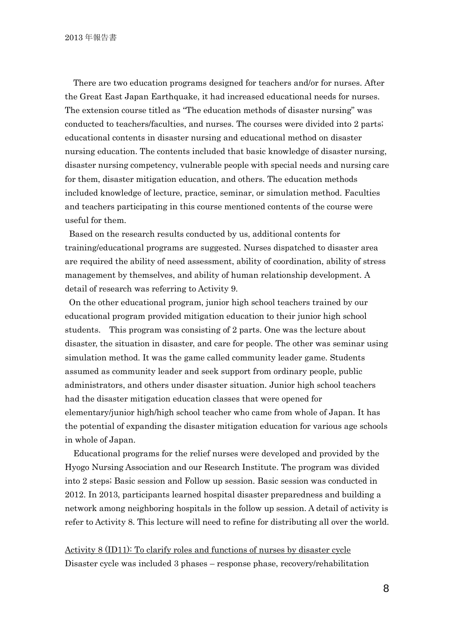There are two education programs designed for teachers and/or for nurses. After the Great East Japan Earthquake, it had increased educational needs for nurses. The extension course titled as "The education methods of disaster nursing" was conducted to teachers/faculties, and nurses. The courses were divided into 2 parts; educational contents in disaster nursing and educational method on disaster nursing education. The contents included that basic knowledge of disaster nursing, disaster nursing competency, vulnerable people with special needs and nursing care for them, disaster mitigation education, and others. The education methods included knowledge of lecture, practice, seminar, or simulation method. Faculties and teachers participating in this course mentioned contents of the course were useful for them.

Based on the research results conducted by us, additional contents for training/educational programs are suggested. Nurses dispatched to disaster area are required the ability of need assessment, ability of coordination, ability of stress management by themselves, and ability of human relationship development. A detail of research was referring to Activity 9.

On the other educational program, junior high school teachers trained by our educational program provided mitigation education to their junior high school students. This program was consisting of 2 parts. One was the lecture about disaster, the situation in disaster, and care for people. The other was seminar using simulation method. It was the game called community leader game. Students assumed as community leader and seek support from ordinary people, public administrators, and others under disaster situation. Junior high school teachers had the disaster mitigation education classes that were opened for elementary/junior high/high school teacher who came from whole of Japan. It has the potential of expanding the disaster mitigation education for various age schools in whole of Japan.

Educational programs for the relief nurses were developed and provided by the Hyogo Nursing Association and our Research Institute. The program was divided into 2 steps; Basic session and Follow up session. Basic session was conducted in 2012. In 2013, participants learned hospital disaster preparedness and building a network among neighboring hospitals in the follow up session. A detail of activity is refer to Activity 8. This lecture will need to refine for distributing all over the world.

Activity 8 (ID11): To clarify roles and functions of nurses by disaster cycle Disaster cycle was included 3 phases – response phase, recovery/rehabilitation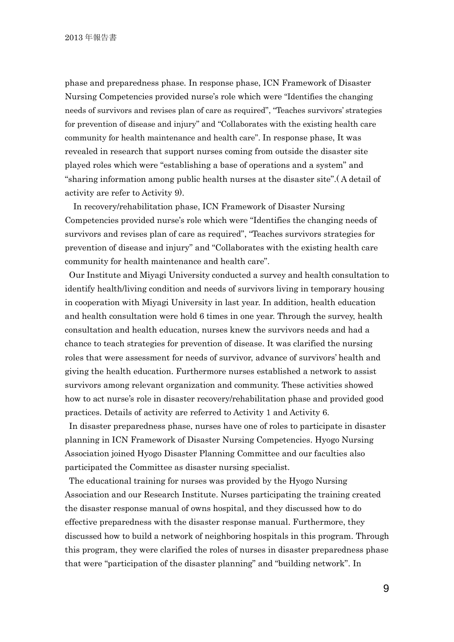phase and preparedness phase. In response phase, ICN Framework of Disaster Nursing Competencies provided nurse's role which were "Identifies the changing needs of survivors and revises plan of care as required", "Teaches survivors' strategies for prevention of disease and injury" and "Collaborates with the existing health care community for health maintenance and health care". In response phase, It was revealed in research that support nurses coming from outside the disaster site played roles which were "establishing a base of operations and a system" and "sharing information among public health nurses at the disaster site".( A detail of activity are refer to Activity 9).

In recovery/rehabilitation phase, ICN Framework of Disaster Nursing Competencies provided nurse's role which were "Identifies the changing needs of survivors and revises plan of care as required", "Teaches survivors strategies for prevention of disease and injury" and "Collaborates with the existing health care community for health maintenance and health care".

Our Institute and Miyagi University conducted a survey and health consultation to identify health/living condition and needs of survivors living in temporary housing in cooperation with Miyagi University in last year. In addition, health education and health consultation were hold 6 times in one year. Through the survey, health consultation and health education, nurses knew the survivors needs and had a chance to teach strategies for prevention of disease. It was clarified the nursing roles that were assessment for needs of survivor, advance of survivors' health and giving the health education. Furthermore nurses established a network to assist survivors among relevant organization and community. These activities showed how to act nurse's role in disaster recovery/rehabilitation phase and provided good practices. Details of activity are referred to Activity 1 and Activity 6.

In disaster preparedness phase, nurses have one of roles to participate in disaster planning in ICN Framework of Disaster Nursing Competencies. Hyogo Nursing Association joined Hyogo Disaster Planning Committee and our faculties also participated the Committee as disaster nursing specialist.

The educational training for nurses was provided by the Hyogo Nursing Association and our Research Institute. Nurses participating the training created the disaster response manual of owns hospital, and they discussed how to do effective preparedness with the disaster response manual. Furthermore, they discussed how to build a network of neighboring hospitals in this program. Through this program, they were clarified the roles of nurses in disaster preparedness phase that were "participation of the disaster planning" and "building network". In

9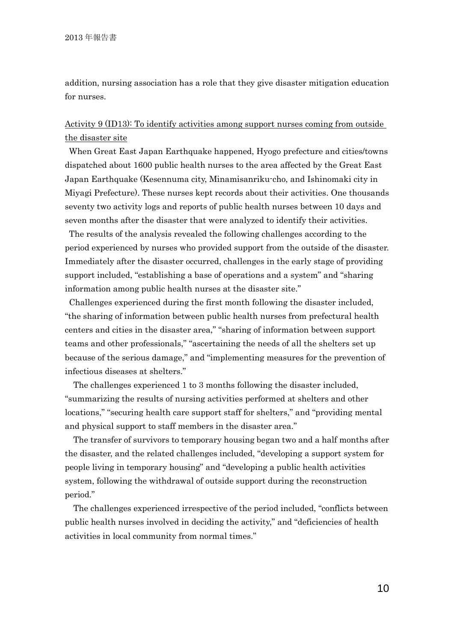addition, nursing association has a role that they give disaster mitigation education for nurses.

## Activity 9 (ID13): To identify activities among support nurses coming from outside the disaster site

When Great East Japan Earthquake happened, Hyogo prefecture and cities/towns dispatched about 1600 public health nurses to the area affected by the Great East Japan Earthquake (Kesennuma city, Minamisanriku-cho, and Ishinomaki city in Miyagi Prefecture). These nurses kept records about their activities. One thousands seventy two activity logs and reports of public health nurses between 10 days and seven months after the disaster that were analyzed to identify their activities.

The results of the analysis revealed the following challenges according to the period experienced by nurses who provided support from the outside of the disaster. Immediately after the disaster occurred, challenges in the early stage of providing support included, "establishing a base of operations and a system" and "sharing information among public health nurses at the disaster site."

Challenges experienced during the first month following the disaster included, "the sharing of information between public health nurses from prefectural health centers and cities in the disaster area," "sharing of information between support teams and other professionals," "ascertaining the needs of all the shelters set up because of the serious damage," and "implementing measures for the prevention of infectious diseases at shelters."

The challenges experienced 1 to 3 months following the disaster included, "summarizing the results of nursing activities performed at shelters and other locations," "securing health care support staff for shelters," and "providing mental and physical support to staff members in the disaster area."

The transfer of survivors to temporary housing began two and a half months after the disaster, and the related challenges included, "developing a support system for people living in temporary housing" and "developing a public health activities system, following the withdrawal of outside support during the reconstruction period."

The challenges experienced irrespective of the period included, "conflicts between public health nurses involved in deciding the activity," and "deficiencies of health activities in local community from normal times."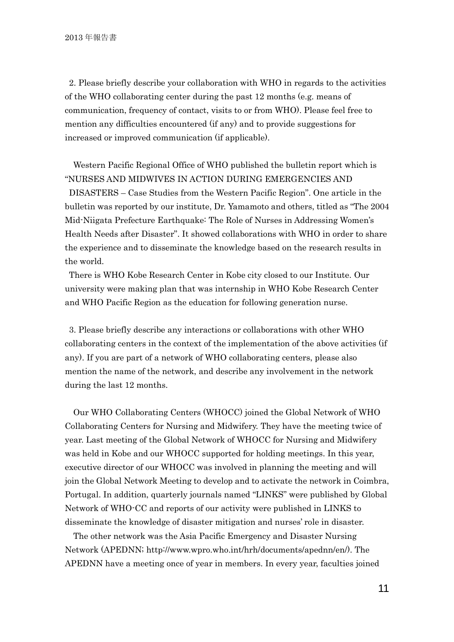2. Please briefly describe your collaboration with WHO in regards to the activities of the WHO collaborating center during the past 12 months (e.g. means of communication, frequency of contact, visits to or from WHO). Please feel free to mention any difficulties encountered (if any) and to provide suggestions for increased or improved communication (if applicable).

Western Pacific Regional Office of WHO published the bulletin report which is "NURSES AND MIDWIVES IN ACTION DURING EMERGENCIES AND

DISASTERS – Case Studies from the Western Pacific Region". One article in the bulletin was reported by our institute, Dr. Yamamoto and others, titled as "The 2004 Mid-Niigata Prefecture Earthquake: The Role of Nurses in Addressing Women's Health Needs after Disaster". It showed collaborations with WHO in order to share the experience and to disseminate the knowledge based on the research results in the world.

There is WHO Kobe Research Center in Kobe city closed to our Institute. Our university were making plan that was internship in WHO Kobe Research Center and WHO Pacific Region as the education for following generation nurse.

3. Please briefly describe any interactions or collaborations with other WHO collaborating centers in the context of the implementation of the above activities (if any). If you are part of a network of WHO collaborating centers, please also mention the name of the network, and describe any involvement in the network during the last 12 months.

Our WHO Collaborating Centers (WHOCC) joined the Global Network of WHO Collaborating Centers for Nursing and Midwifery. They have the meeting twice of year. Last meeting of the Global Network of WHOCC for Nursing and Midwifery was held in Kobe and our WHOCC supported for holding meetings. In this year, executive director of our WHOCC was involved in planning the meeting and will join the Global Network Meeting to develop and to activate the network in Coimbra, Portugal. In addition, quarterly journals named "LINKS" were published by Global Network of WHO-CC and reports of our activity were published in LINKS to disseminate the knowledge of disaster mitigation and nurses' role in disaster.

The other network was the Asia Pacific Emergency and Disaster Nursing Network (APEDNN; http://www.wpro.who.int/hrh/documents/apednn/en/). The APEDNN have a meeting once of year in members. In every year, faculties joined